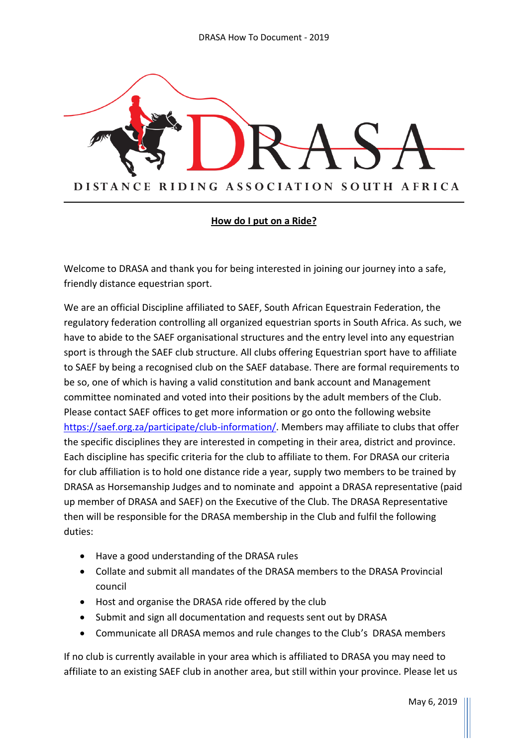

#### **How do I put on a Ride?**

Welcome to DRASA and thank you for being interested in joining our journey into a safe, friendly distance equestrian sport.

We are an official Discipline affiliated to SAEF, South African Equestrain Federation, the regulatory federation controlling all organized equestrian sports in South Africa. As such, we have to abide to the SAEF organisational structures and the entry level into any equestrian sport is through the SAEF club structure. All clubs offering Equestrian sport have to affiliate to SAEF by being a recognised club on the SAEF database. There are formal requirements to be so, one of which is having a valid constitution and bank account and Management committee nominated and voted into their positions by the adult members of the Club. Please contact SAEF offices to get more information or go onto the following website [https://saef.org.za/participate/club-information/.](https://saef.org.za/participate/club-information/) Members may affiliate to clubs that offer the specific disciplines they are interested in competing in their area, district and province. Each discipline has specific criteria for the club to affiliate to them. For DRASA our criteria for club affiliation is to hold one distance ride a year, supply two members to be trained by DRASA as Horsemanship Judges and to nominate and appoint a DRASA representative (paid up member of DRASA and SAEF) on the Executive of the Club. The DRASA Representative then will be responsible for the DRASA membership in the Club and fulfil the following duties:

- Have a good understanding of the DRASA rules
- Collate and submit all mandates of the DRASA members to the DRASA Provincial council
- Host and organise the DRASA ride offered by the club
- Submit and sign all documentation and requests sent out by DRASA
- Communicate all DRASA memos and rule changes to the Club's DRASA members

If no club is currently available in your area which is affiliated to DRASA you may need to affiliate to an existing SAEF club in another area, but still within your province. Please let us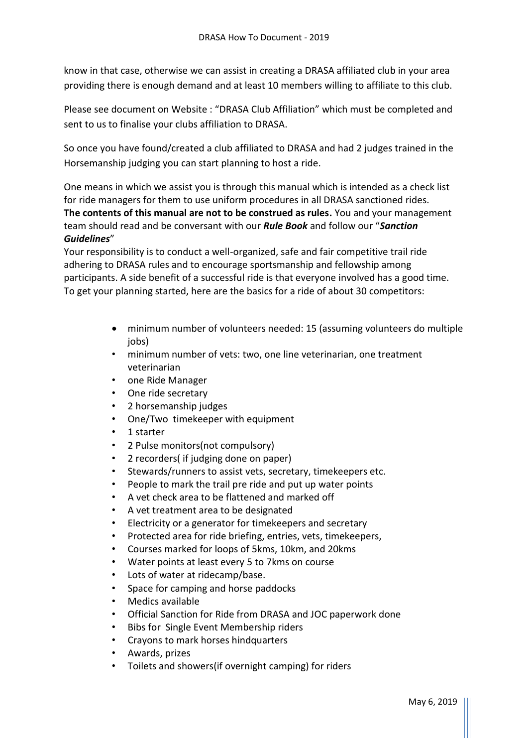know in that case, otherwise we can assist in creating a DRASA affiliated club in your area providing there is enough demand and at least 10 members willing to affiliate to this club.

Please see document on Website : "DRASA Club Affiliation" which must be completed and sent to us to finalise your clubs affiliation to DRASA.

So once you have found/created a club affiliated to DRASA and had 2 judges trained in the Horsemanship judging you can start planning to host a ride.

One means in which we assist you is through this manual which is intended as a check list for ride managers for them to use uniform procedures in all DRASA sanctioned rides. **The contents of this manual are not to be construed as rules.** You and your management team should read and be conversant with our *Rule Book* and follow our "*Sanction Guidelines*"

Your responsibility is to conduct a well-organized, safe and fair competitive trail ride adhering to DRASA rules and to encourage sportsmanship and fellowship among participants. A side benefit of a successful ride is that everyone involved has a good time. To get your planning started, here are the basics for a ride of about 30 competitors:

- minimum number of volunteers needed: 15 (assuming volunteers do multiple jobs)
- minimum number of vets: two, one line veterinarian, one treatment veterinarian
- one Ride Manager
- One ride secretary
- 2 horsemanship judges
- One/Two timekeeper with equipment
- 1 starter
- 2 Pulse monitors(not compulsory)
- 2 recorders( if judging done on paper)
- Stewards/runners to assist vets, secretary, timekeepers etc.
- People to mark the trail pre ride and put up water points
- A vet check area to be flattened and marked off
- A vet treatment area to be designated
- Electricity or a generator for timekeepers and secretary
- Protected area for ride briefing, entries, vets, timekeepers,
- Courses marked for loops of 5kms, 10km, and 20kms
- Water points at least every 5 to 7kms on course
- Lots of water at ridecamp/base.
- Space for camping and horse paddocks
- Medics available
- Official Sanction for Ride from DRASA and JOC paperwork done
- Bibs for Single Event Membership riders
- Crayons to mark horses hindquarters
- Awards, prizes
- Toilets and showers(if overnight camping) for riders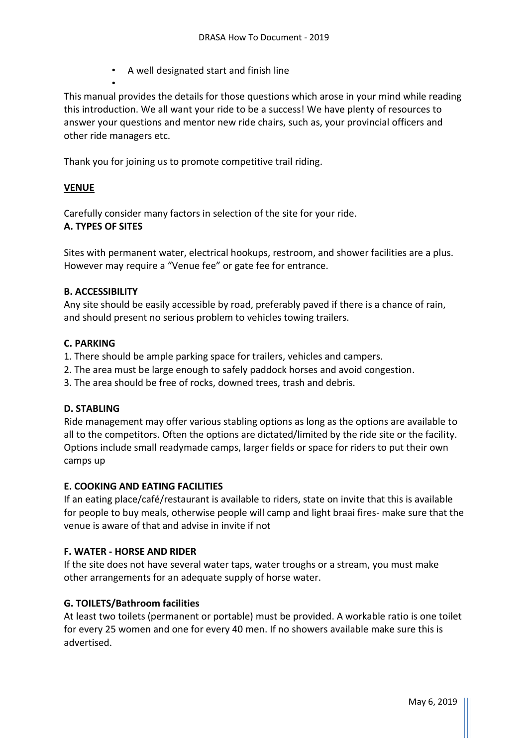• A well designated start and finish line

This manual provides the details for those questions which arose in your mind while reading this introduction. We all want your ride to be a success! We have plenty of resources to answer your questions and mentor new ride chairs, such as, your provincial officers and other ride managers etc.

Thank you for joining us to promote competitive trail riding.

## **VENUE**

Carefully consider many factors in selection of the site for your ride.

#### **A. TYPES OF SITES**

•

Sites with permanent water, electrical hookups, restroom, and shower facilities are a plus. However may require a "Venue fee" or gate fee for entrance.

#### **B. ACCESSIBILITY**

Any site should be easily accessible by road, preferably paved if there is a chance of rain, and should present no serious problem to vehicles towing trailers.

#### **C. PARKING**

- 1. There should be ample parking space for trailers, vehicles and campers.
- 2. The area must be large enough to safely paddock horses and avoid congestion.
- 3. The area should be free of rocks, downed trees, trash and debris.

#### **D. STABLING**

Ride management may offer various stabling options as long as the options are available to all to the competitors. Often the options are dictated/limited by the ride site or the facility. Options include small readymade camps, larger fields or space for riders to put their own camps up

#### **E. COOKING AND EATING FACILITIES**

If an eating place/café/restaurant is available to riders, state on invite that this is available for people to buy meals, otherwise people will camp and light braai fires- make sure that the venue is aware of that and advise in invite if not

#### **F. WATER - HORSE AND RIDER**

If the site does not have several water taps, water troughs or a stream, you must make other arrangements for an adequate supply of horse water.

#### **G. TOILETS/Bathroom facilities**

At least two toilets (permanent or portable) must be provided. A workable ratio is one toilet for every 25 women and one for every 40 men. If no showers available make sure this is advertised.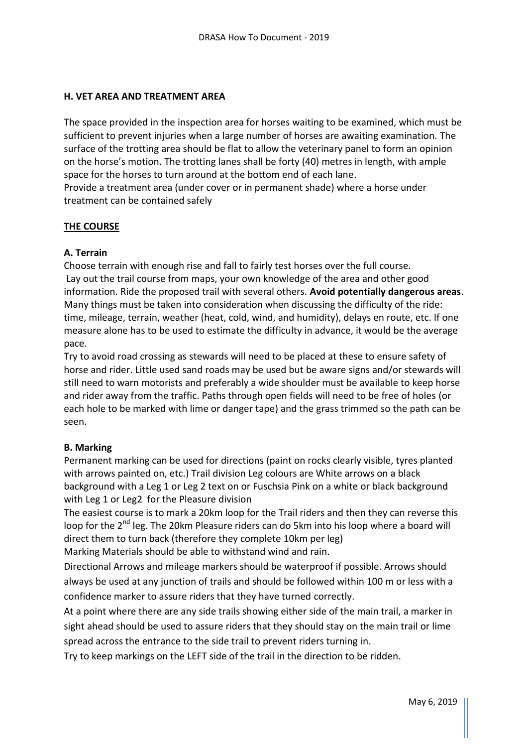### **H. VET AREA AND TREATMENT AREA**

The space provided in the inspection area for horses waiting to be examined, which must be sufficient to prevent injuries when a large number of horses are awaiting examination. The surface of the trotting area should be flat to allow the veterinary panel to form an opinion on the horse's motion. The trotting lanes shall be forty (40) metres in length, with ample space for the horses to turn around at the bottom end of each lane.

Provide a treatment area (under cover or in permanent shade) where a horse under treatment can be contained safely

#### **THE COURSE**

## **A. Terrain**

Choose terrain with enough rise and fall to fairly test horses over the full course. Lay out the trail course from maps, your own knowledge of the area and other good information. Ride the proposed trail with several others. **Avoid potentially dangerous areas**. Many things must be taken into consideration when discussing the difficulty of the ride: time, mileage, terrain, weather (heat, cold, wind, and humidity), delays en route, etc. If one measure alone has to be used to estimate the difficulty in advance, it would be the average pace.

Try to avoid road crossing as stewards will need to be placed at these to ensure safety of horse and rider. Little used sand roads may be used but be aware signs and/or stewards will still need to warn motorists and preferably a wide shoulder must be available to keep horse and rider away from the traffic. Paths through open fields will need to be free of holes (or each hole to be marked with lime or danger tape) and the grass trimmed so the path can be seen.

#### **B. Marking**

Permanent marking can be used for directions (paint on rocks clearly visible, tyres planted with arrows painted on, etc.) Trail division Leg colours are White arrows on a black background with a Leg 1 or Leg 2 text on or Fuschsia Pink on a white or black background with Leg 1 or Leg2 for the Pleasure division

The easiest course is to mark a 20km loop for the Trail riders and then they can reverse this loop for the 2<sup>nd</sup> leg. The 20km Pleasure riders can do 5km into his loop where a board will direct them to turn back (therefore they complete 10km per leg) Marking Materials should be able to withstand wind and rain.

Directional Arrows and mileage markers should be waterproof if possible. Arrows should always be used at any junction of trails and should be followed within 100 m or less with a confidence marker to assure riders that they have turned correctly.

At a point where there are any side trails showing either side of the main trail, a marker in sight ahead should be used to assure riders that they should stay on the main trail or lime spread across the entrance to the side trail to prevent riders turning in.

Try to keep markings on the LEFT side of the trail in the direction to be ridden.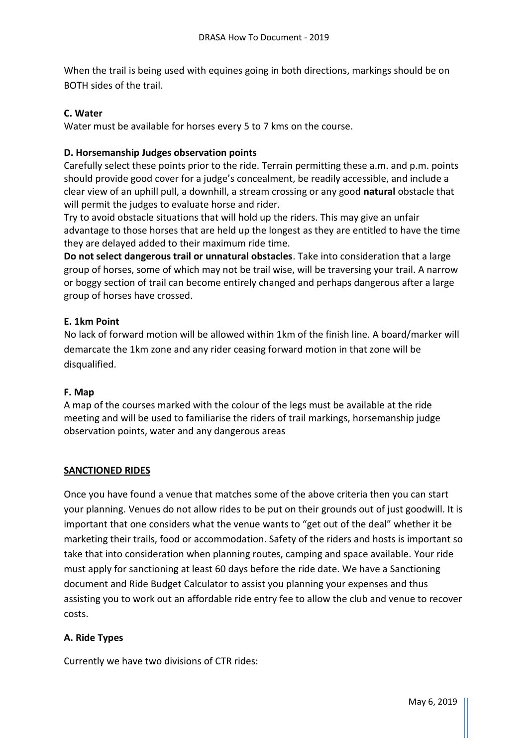When the trail is being used with equines going in both directions, markings should be on BOTH sides of the trail.

## **C. Water**

Water must be available for horses every 5 to 7 kms on the course.

## **D. Horsemanship Judges observation points**

Carefully select these points prior to the ride. Terrain permitting these a.m. and p.m. points should provide good cover for a judge's concealment, be readily accessible, and include a clear view of an uphill pull, a downhill, a stream crossing or any good **natural** obstacle that will permit the judges to evaluate horse and rider.

Try to avoid obstacle situations that will hold up the riders. This may give an unfair advantage to those horses that are held up the longest as they are entitled to have the time they are delayed added to their maximum ride time.

**Do not select dangerous trail or unnatural obstacles**. Take into consideration that a large group of horses, some of which may not be trail wise, will be traversing your trail. A narrow or boggy section of trail can become entirely changed and perhaps dangerous after a large group of horses have crossed.

## **E. 1km Point**

No lack of forward motion will be allowed within 1km of the finish line. A board/marker will demarcate the 1km zone and any rider ceasing forward motion in that zone will be disqualified.

#### **F. Map**

A map of the courses marked with the colour of the legs must be available at the ride meeting and will be used to familiarise the riders of trail markings, horsemanship judge observation points, water and any dangerous areas

# **SANCTIONED RIDES**

Once you have found a venue that matches some of the above criteria then you can start your planning. Venues do not allow rides to be put on their grounds out of just goodwill. It is important that one considers what the venue wants to "get out of the deal" whether it be marketing their trails, food or accommodation. Safety of the riders and hosts is important so take that into consideration when planning routes, camping and space available. Your ride must apply for sanctioning at least 60 days before the ride date. We have a Sanctioning document and Ride Budget Calculator to assist you planning your expenses and thus assisting you to work out an affordable ride entry fee to allow the club and venue to recover costs.

#### **A. Ride Types**

Currently we have two divisions of CTR rides: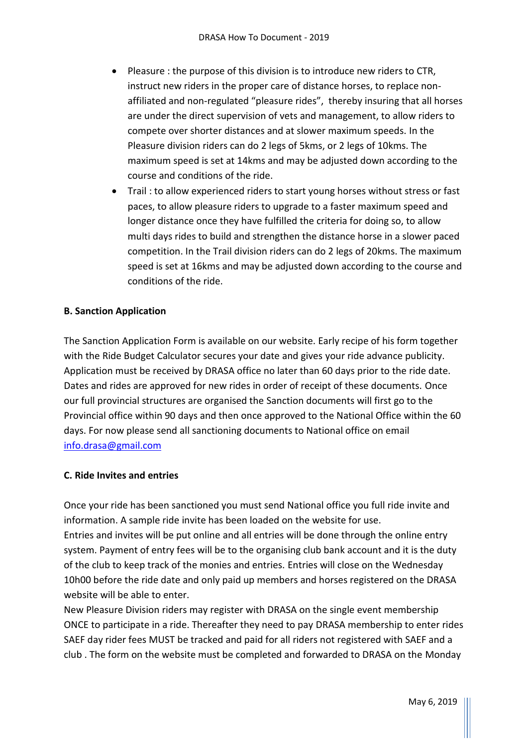- Pleasure : the purpose of this division is to introduce new riders to CTR, instruct new riders in the proper care of distance horses, to replace nonaffiliated and non-regulated "pleasure rides", thereby insuring that all horses are under the direct supervision of vets and management, to allow riders to compete over shorter distances and at slower maximum speeds. In the Pleasure division riders can do 2 legs of 5kms, or 2 legs of 10kms. The maximum speed is set at 14kms and may be adjusted down according to the course and conditions of the ride.
- Trail : to allow experienced riders to start young horses without stress or fast paces, to allow pleasure riders to upgrade to a faster maximum speed and longer distance once they have fulfilled the criteria for doing so, to allow multi days rides to build and strengthen the distance horse in a slower paced competition. In the Trail division riders can do 2 legs of 20kms. The maximum speed is set at 16kms and may be adjusted down according to the course and conditions of the ride.

## **B. Sanction Application**

The Sanction Application Form is available on our website. Early recipe of his form together with the Ride Budget Calculator secures your date and gives your ride advance publicity. Application must be received by DRASA office no later than 60 days prior to the ride date. Dates and rides are approved for new rides in order of receipt of these documents. Once our full provincial structures are organised the Sanction documents will first go to the Provincial office within 90 days and then once approved to the National Office within the 60 days. For now please send all sanctioning documents to National office on email [info.drasa@gmail.com](mailto:info.drasa@gmail.com)

#### **C. Ride Invites and entries**

Once your ride has been sanctioned you must send National office you full ride invite and information. A sample ride invite has been loaded on the website for use. Entries and invites will be put online and all entries will be done through the online entry system. Payment of entry fees will be to the organising club bank account and it is the duty of the club to keep track of the monies and entries. Entries will close on the Wednesday 10h00 before the ride date and only paid up members and horses registered on the DRASA website will be able to enter.

New Pleasure Division riders may register with DRASA on the single event membership ONCE to participate in a ride. Thereafter they need to pay DRASA membership to enter rides SAEF day rider fees MUST be tracked and paid for all riders not registered with SAEF and a club . The form on the website must be completed and forwarded to DRASA on the Monday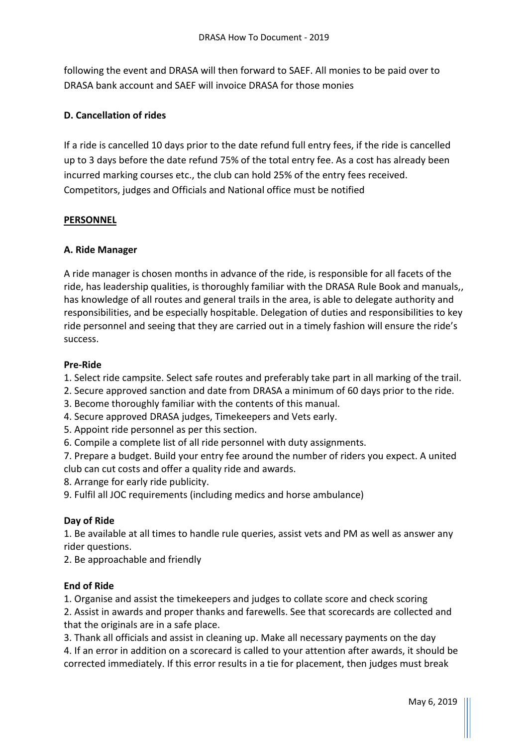following the event and DRASA will then forward to SAEF. All monies to be paid over to DRASA bank account and SAEF will invoice DRASA for those monies

## **D. Cancellation of rides**

If a ride is cancelled 10 days prior to the date refund full entry fees, if the ride is cancelled up to 3 days before the date refund 75% of the total entry fee. As a cost has already been incurred marking courses etc., the club can hold 25% of the entry fees received. Competitors, judges and Officials and National office must be notified

#### **PERSONNEL**

## **A. Ride Manager**

A ride manager is chosen months in advance of the ride, is responsible for all facets of the ride, has leadership qualities, is thoroughly familiar with the DRASA Rule Book and manuals,, has knowledge of all routes and general trails in the area, is able to delegate authority and responsibilities, and be especially hospitable. Delegation of duties and responsibilities to key ride personnel and seeing that they are carried out in a timely fashion will ensure the ride's success.

## **Pre-Ride**

1. Select ride campsite. Select safe routes and preferably take part in all marking of the trail.

- 2. Secure approved sanction and date from DRASA a minimum of 60 days prior to the ride.
- 3. Become thoroughly familiar with the contents of this manual.
- 4. Secure approved DRASA judges, Timekeepers and Vets early.
- 5. Appoint ride personnel as per this section.
- 6. Compile a complete list of all ride personnel with duty assignments.

7. Prepare a budget. Build your entry fee around the number of riders you expect. A united club can cut costs and offer a quality ride and awards.

8. Arrange for early ride publicity.

9. Fulfil all JOC requirements (including medics and horse ambulance)

# **Day of Ride**

1. Be available at all times to handle rule queries, assist vets and PM as well as answer any rider questions.

2. Be approachable and friendly

#### **End of Ride**

1. Organise and assist the timekeepers and judges to collate score and check scoring

2. Assist in awards and proper thanks and farewells. See that scorecards are collected and that the originals are in a safe place.

3. Thank all officials and assist in cleaning up. Make all necessary payments on the day

4. If an error in addition on a scorecard is called to your attention after awards, it should be corrected immediately. If this error results in a tie for placement, then judges must break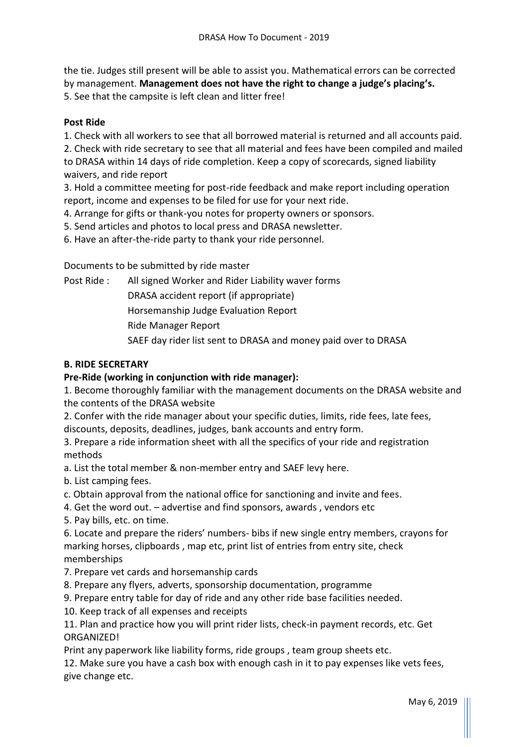the tie. Judges still present will be able to assist you. Mathematical errors can be corrected by management. **Management does not have the right to change a judge's placing's.**  5. See that the campsite is left clean and litter free!

### **Post Ride**

1. Check with all workers to see that all borrowed material is returned and all accounts paid.

2. Check with ride secretary to see that all material and fees have been compiled and mailed to DRASA within 14 days of ride completion. Keep a copy of scorecards, signed liability waivers, and ride report

3. Hold a committee meeting for post-ride feedback and make report including operation report, income and expenses to be filed for use for your next ride.

4. Arrange for gifts or thank-you notes for property owners or sponsors.

5. Send articles and photos to local press and DRASA newsletter.

6. Have an after-the-ride party to thank your ride personnel.

Documents to be submitted by ride master

Post Ride : All signed Worker and Rider Liability waver forms

DRASA accident report (if appropriate)

Horsemanship Judge Evaluation Report

Ride Manager Report

SAEF day rider list sent to DRASA and money paid over to DRASA

## **B. RIDE SECRETARY**

## **Pre-Ride (working in conjunction with ride manager):**

1. Become thoroughly familiar with the management documents on the DRASA website and the contents of the DRASA website

2. Confer with the ride manager about your specific duties, limits, ride fees, late fees, discounts, deposits, deadlines, judges, bank accounts and entry form.

3. Prepare a ride information sheet with all the specifics of your ride and registration methods

a. List the total member & non-member entry and SAEF levy here.

- b. List camping fees.
- c. Obtain approval from the national office for sanctioning and invite and fees.
- 4. Get the word out. advertise and find sponsors, awards , vendors etc
- 5. Pay bills, etc. on time.

6. Locate and prepare the riders' numbers- bibs if new single entry members, crayons for marking horses, clipboards , map etc, print list of entries from entry site, check memberships

- 7. Prepare vet cards and horsemanship cards
- 8. Prepare any flyers, adverts, sponsorship documentation, programme
- 9. Prepare entry table for day of ride and any other ride base facilities needed.
- 10. Keep track of all expenses and receipts

11. Plan and practice how you will print rider lists, check-in payment records, etc. Get ORGANIZED!

Print any paperwork like liability forms, ride groups , team group sheets etc.

12. Make sure you have a cash box with enough cash in it to pay expenses like vets fees, give change etc.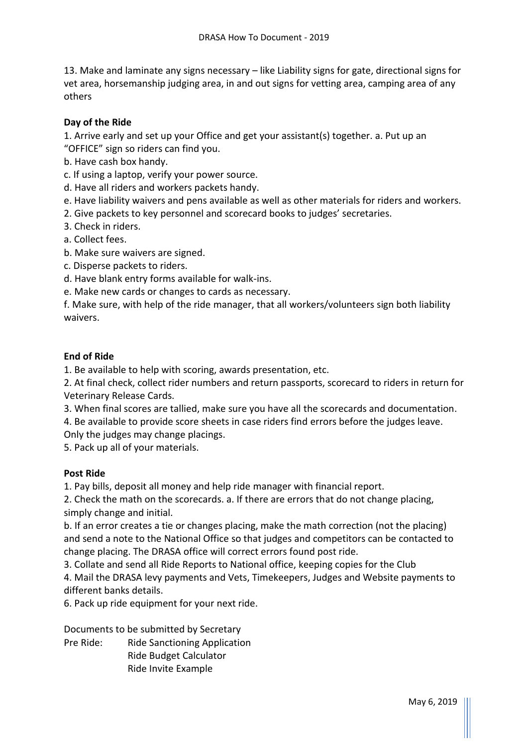13. Make and laminate any signs necessary – like Liability signs for gate, directional signs for vet area, horsemanship judging area, in and out signs for vetting area, camping area of any others

## **Day of the Ride**

1. Arrive early and set up your Office and get your assistant(s) together. a. Put up an "OFFICE" sign so riders can find you.

b. Have cash box handy.

c. If using a laptop, verify your power source.

d. Have all riders and workers packets handy.

e. Have liability waivers and pens available as well as other materials for riders and workers.

2. Give packets to key personnel and scorecard books to judges' secretaries.

3. Check in riders.

a. Collect fees.

b. Make sure waivers are signed.

c. Disperse packets to riders.

d. Have blank entry forms available for walk-ins.

e. Make new cards or changes to cards as necessary.

f. Make sure, with help of the ride manager, that all workers/volunteers sign both liability waivers.

#### **End of Ride**

1. Be available to help with scoring, awards presentation, etc.

2. At final check, collect rider numbers and return passports, scorecard to riders in return for Veterinary Release Cards.

3. When final scores are tallied, make sure you have all the scorecards and documentation.

4. Be available to provide score sheets in case riders find errors before the judges leave.

Only the judges may change placings.

5. Pack up all of your materials.

#### **Post Ride**

1. Pay bills, deposit all money and help ride manager with financial report.

2. Check the math on the scorecards. a. If there are errors that do not change placing, simply change and initial.

b. If an error creates a tie or changes placing, make the math correction (not the placing) and send a note to the National Office so that judges and competitors can be contacted to change placing. The DRASA office will correct errors found post ride.

3. Collate and send all Ride Reports to National office, keeping copies for the Club

4. Mail the DRASA levy payments and Vets, Timekeepers, Judges and Website payments to different banks details.

6. Pack up ride equipment for your next ride.

Documents to be submitted by Secretary

Pre Ride: Ride Sanctioning Application Ride Budget Calculator Ride Invite Example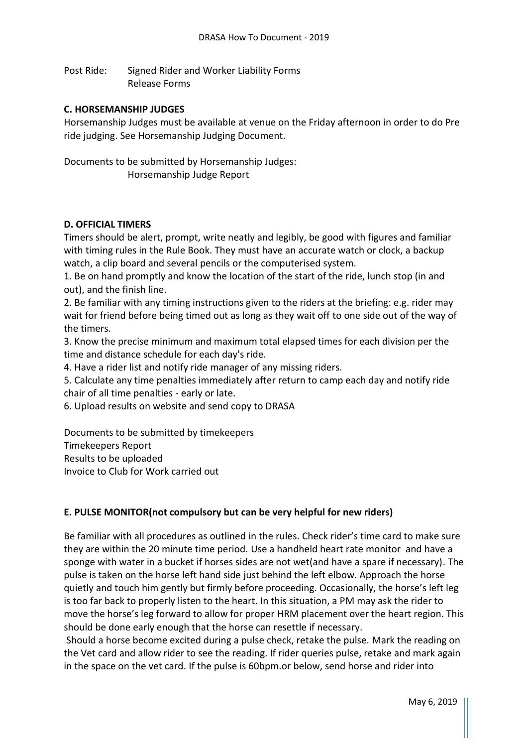Post Ride: Signed Rider and Worker Liability Forms Release Forms

#### **C. HORSEMANSHIP JUDGES**

Horsemanship Judges must be available at venue on the Friday afternoon in order to do Pre ride judging. See Horsemanship Judging Document.

Documents to be submitted by Horsemanship Judges: Horsemanship Judge Report

#### **D. OFFICIAL TIMERS**

Timers should be alert, prompt, write neatly and legibly, be good with figures and familiar with timing rules in the Rule Book. They must have an accurate watch or clock, a backup watch, a clip board and several pencils or the computerised system.

1. Be on hand promptly and know the location of the start of the ride, lunch stop (in and out), and the finish line.

2. Be familiar with any timing instructions given to the riders at the briefing: e.g. rider may wait for friend before being timed out as long as they wait off to one side out of the way of the timers.

3. Know the precise minimum and maximum total elapsed times for each division per the time and distance schedule for each day's ride.

4. Have a rider list and notify ride manager of any missing riders.

5. Calculate any time penalties immediately after return to camp each day and notify ride chair of all time penalties - early or late.

6. Upload results on website and send copy to DRASA

Documents to be submitted by timekeepers Timekeepers Report

Results to be uploaded

Invoice to Club for Work carried out

#### **E. PULSE MONITOR(not compulsory but can be very helpful for new riders)**

Be familiar with all procedures as outlined in the rules. Check rider's time card to make sure they are within the 20 minute time period. Use a handheld heart rate monitor and have a sponge with water in a bucket if horses sides are not wet(and have a spare if necessary). The pulse is taken on the horse left hand side just behind the left elbow. Approach the horse quietly and touch him gently but firmly before proceeding. Occasionally, the horse's left leg is too far back to properly listen to the heart. In this situation, a PM may ask the rider to move the horse's leg forward to allow for proper HRM placement over the heart region. This should be done early enough that the horse can resettle if necessary.

Should a horse become excited during a pulse check, retake the pulse. Mark the reading on the Vet card and allow rider to see the reading. If rider queries pulse, retake and mark again in the space on the vet card. If the pulse is 60bpm.or below, send horse and rider into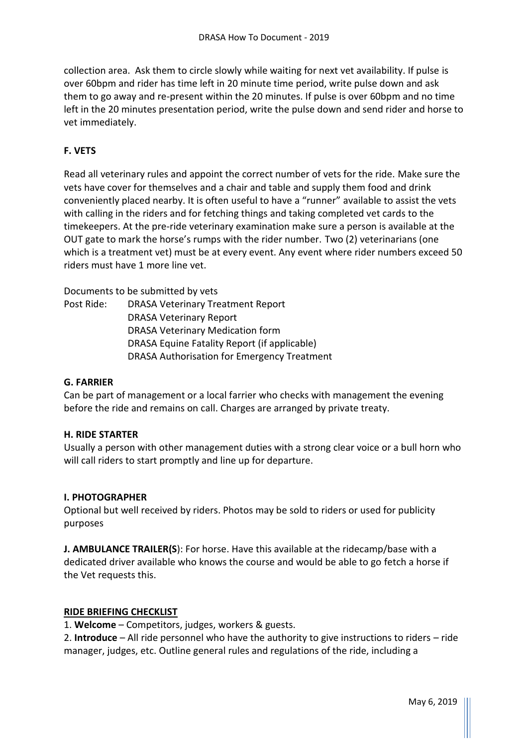collection area. Ask them to circle slowly while waiting for next vet availability. If pulse is over 60bpm and rider has time left in 20 minute time period, write pulse down and ask them to go away and re-present within the 20 minutes. If pulse is over 60bpm and no time left in the 20 minutes presentation period, write the pulse down and send rider and horse to vet immediately.

# **F. VETS**

Read all veterinary rules and appoint the correct number of vets for the ride. Make sure the vets have cover for themselves and a chair and table and supply them food and drink conveniently placed nearby. It is often useful to have a "runner" available to assist the vets with calling in the riders and for fetching things and taking completed vet cards to the timekeepers. At the pre-ride veterinary examination make sure a person is available at the OUT gate to mark the horse's rumps with the rider number. Two (2) veterinarians (one which is a treatment vet) must be at every event. Any event where rider numbers exceed 50 riders must have 1 more line vet.

Documents to be submitted by vets

Post Ride: DRASA Veterinary Treatment Report DRASA Veterinary Report DRASA Veterinary Medication form DRASA Equine Fatality Report (if applicable) DRASA Authorisation for Emergency Treatment

#### **G. FARRIER**

Can be part of management or a local farrier who checks with management the evening before the ride and remains on call. Charges are arranged by private treaty.

#### **H. RIDE STARTER**

Usually a person with other management duties with a strong clear voice or a bull horn who will call riders to start promptly and line up for departure.

#### **I. PHOTOGRAPHER**

Optional but well received by riders. Photos may be sold to riders or used for publicity purposes

**J. AMBULANCE TRAILER(S**): For horse. Have this available at the ridecamp/base with a dedicated driver available who knows the course and would be able to go fetch a horse if the Vet requests this.

#### **RIDE BRIEFING CHECKLIST**

1. **Welcome** – Competitors, judges, workers & guests.

2. **Introduce** – All ride personnel who have the authority to give instructions to riders – ride manager, judges, etc. Outline general rules and regulations of the ride, including a